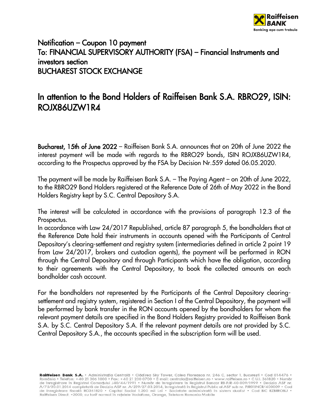

## Notification – Coupon 10 payment To: FINANCIAL SUPERVISORY AUTHORITY (FSA) – Financial Instruments and investors section BUCHAREST STOCK EXCHANGE

## In attention to the Bond Holders of Raiffeisen Bank S.A. RBRO29, ISIN: ROJX86UZW1R4

Bucharest, 15th of June 2022 – Raiffeisen Bank S.A. announces that on 20th of June 2022 the interest payment will be made with regards to the RBRO29 bonds, ISIN ROJX86UZW1R4, according to the Prospectus approved by the FSA by Decision Nr.559 dated 06.05.2020.

The payment will be made by Raiffeisen Bank S.A. – The Paying Agent – on 20th of June 2022, to the RBRO29 Bond Holders registered at the Reference Date of 26th of May 2022 in the Bond Holders Registry kept by S.C. Central Depository S.A.

The interest will be calculated in accordance with the provisions of paragraph 12.3 of the Prospectus.

In accordance with Law 24/2017 Republished, article 87 paragraph 5, the bondholders that at the Reference Date hold their instruments in accounts opened with the Participants of Central Depository's clearing-settlement and registry system (intermediaries defined in article 2 point 19 from Law 24/2017, brokers and custodian agents), the payment will be performed in RON through the Central Depository and through Participants which have the obligation, according to their agreements with the Central Depository, to book the collected amounts on each bondholder cash account.

For the bondholders not represented by the Participants of the Central Depository clearingsettlement and registry system, registered in Section I of the Central Depository, the payment will be performed by bank transfer in the RON accounts opened by the bondholders for whom the relevant payment details are specified in the Bond Holders Registry provided to Raiffeisen Bank S.A. by S.C. Central Depository S.A. If the relevant payment details are not provided by S.C. Central Depository S.A., the accounts specified in the subscription form will be used.